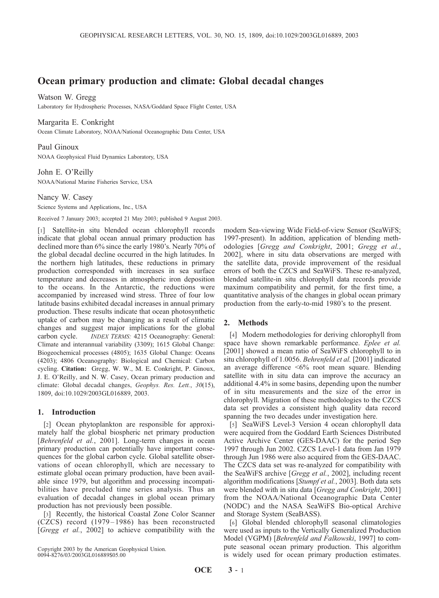# Ocean primary production and climate: Global decadal changes

### Watson W. Gregg

Laboratory for Hydrospheric Processes, NASA/Goddard Space Flight Center, USA

### Margarita E. Conkright

Ocean Climate Laboratory, NOAA/National Oceanographic Data Center, USA

Paul Ginoux NOAA Geophysical Fluid Dynamics Laboratory, USA

# John E. O'Reilly

NOAA/National Marine Fisheries Service, USA

# Nancy W. Casey

Science Systems and Applications, Inc., USA

Received 7 January 2003; accepted 21 May 2003; published 9 August 2003.

[1] Satellite-in situ blended ocean chlorophyll records indicate that global ocean annual primary production has declined more than 6% since the early 1980's. Nearly 70% of the global decadal decline occurred in the high latitudes. In the northern high latitudes, these reductions in primary production corresponded with increases in sea surface temperature and decreases in atmospheric iron deposition to the oceans. In the Antarctic, the reductions were accompanied by increased wind stress. Three of four low latitude basins exhibited decadal increases in annual primary production. These results indicate that ocean photosynthetic uptake of carbon may be changing as a result of climatic changes and suggest major implications for the global carbon cycle. INDEX TERMS: 4215 Oceanography: General: Climate and interannual variability (3309); 1615 Global Change: Biogeochemical processes (4805); 1635 Global Change: Oceans (4203); 4806 Oceanography: Biological and Chemical: Carbon cycling. Citation: Gregg, W. W., M. E. Conkright, P. Ginoux, J. E. O'Reilly, and N. W. Casey, Ocean primary production and climate: Global decadal changes, Geophys. Res. Lett., 30(15), 1809, doi:10.1029/2003GL016889, 2003.

# 1. Introduction

[2] Ocean phytoplankton are responsible for approximately half the global biospheric net primary production [Behrenfeld et al., 2001]. Long-term changes in ocean primary production can potentially have important consequences for the global carbon cycle. Global satellite observations of ocean chlorophyll, which are necessary to estimate global ocean primary production, have been available since 1979, but algorithm and processing incompatibilities have precluded time series analysis. Thus an evaluation of decadal changes in global ocean primary production has not previously been possible.

[3] Recently, the historical Coastal Zone Color Scanner (CZCS) record (1979 – 1986) has been reconstructed [Gregg et al., 2002] to achieve compatibility with the

Copyright 2003 by the American Geophysical Union. 0094-8276/03/2003GL016889\$05.00

modern Sea-viewing Wide Field-of-view Sensor (SeaWiFS; 1997-present). In addition, application of blending methodologies [Gregg and Conkright, 2001; Gregg et al., 2002], where in situ data observations are merged with the satellite data, provide improvement of the residual errors of both the CZCS and SeaWiFS. These re-analyzed, blended satellite-in situ chlorophyll data records provide maximum compatibility and permit, for the first time, a quantitative analysis of the changes in global ocean primary production from the early-to-mid 1980's to the present.

# 2. Methods

[4] Modern methodologies for deriving chlorophyll from space have shown remarkable performance. Eplee et al. [2001] showed a mean ratio of SeaWiFS chlorophyll to in situ chlorophyll of 1.0056. Behrenfeld et al. [2001] indicated an average difference <6% root mean square. Blending satellite with in situ data can improve the accuracy an additional 4.4% in some basins, depending upon the number of in situ measurements and the size of the error in chlorophyll. Migration of these methodologies to the CZCS data set provides a consistent high quality data record spanning the two decades under investigation here.

[5] SeaWiFS Level-3 Version 4 ocean chlorophyll data were acquired from the Goddard Earth Sciences Distributed Active Archive Center (GES-DAAC) for the period Sep 1997 through Jun 2002. CZCS Level-1 data from Jan 1979 through Jun 1986 were also acquired from the GES-DAAC. The CZCS data set was re-analyzed for compatibility with the SeaWiFS archive [Gregg et al., 2002], including recent algorithm modifications [Stumpf et al., 2003]. Both data sets were blended with in situ data [Gregg and Conkright, 2001] from the NOAA/National Oceanographic Data Center (NODC) and the NASA SeaWiFS Bio-optical Archive and Storage System (SeaBASS).

[6] Global blended chlorophyll seasonal climatologies were used as inputs to the Vertically Generalized Production Model (VGPM) [Behrenfeld and Falkowski, 1997] to compute seasonal ocean primary production. This algorithm is widely used for ocean primary production estimates.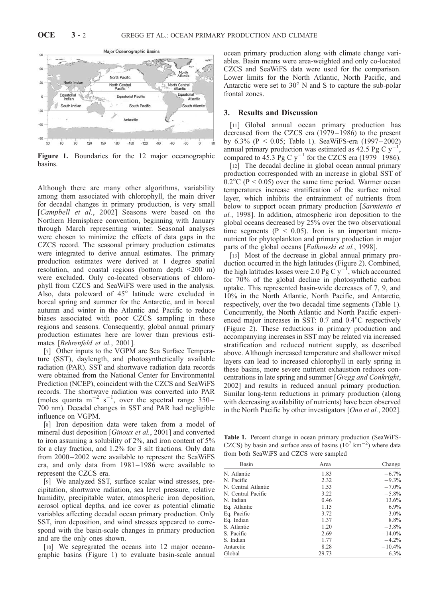

Figure 1. Boundaries for the 12 major oceanographic basins.

Although there are many other algorithms, variability among them associated with chlorophyll, the main driver for decadal changes in primary production, is very small [*Campbell et al.*, 2002] Seasons were based on the Northern Hemisphere convention, beginning with January through March representing winter. Seasonal analyses were chosen to minimize the effects of data gaps in the CZCS record. The seasonal primary production estimates were integrated to derive annual estimates. The primary production estimates were derived at 1 degree spatial resolution, and coastal regions (bottom depth <200 m) were excluded. Only co-located observations of chlorophyll from CZCS and SeaWiFS were used in the analysis. Also, data poleward of  $45^\circ$  latitude were excluded in boreal spring and summer for the Antarctic, and in boreal autumn and winter in the Atlantic and Pacific to reduce biases associated with poor CZCS sampling in these regions and seasons. Consequently, global annual primary production estimates here are lower than previous estimates [Behrenfeld et al., 2001].

[7] Other inputs to the VGPM are Sea Surface Temperature (SST), daylength, and photosynthetically available radiation (PAR). SST and shortwave radiation data records were obtained from the National Center for Environmental Prediction (NCEP), coincident with the CZCS and SeaWiFS records. The shortwave radiation was converted into PAR (moles quanta  $m^{-2}$  s<sup>-1</sup>, over the spectral range 350– 700 nm). Decadal changes in SST and PAR had negligible influence on VGPM.

[8] Iron deposition data were taken from a model of mineral dust deposition [Ginoux et al., 2001] and converted to iron assuming a solubility of 2%, and iron content of 5% for a clay fraction, and 1.2% for 3 silt fractions. Only data from 2000-2002 were available to represent the SeaWiFS era, and only data from 1981 – 1986 were available to represent the CZCS era.

[9] We analyzed SST, surface scalar wind stresses, precipitation, shortwave radiation, sea level pressure, relative humidity, precipitable water, atmospheric iron deposition, aerosol optical depths, and ice cover as potential climatic variables affecting decadal ocean primary production. Only SST, iron deposition, and wind stresses appeared to correspond with the basin-scale changes in primary production and are the only ones shown.

[10] We segregrated the oceans into 12 major oceanographic basins (Figure 1) to evaluate basin-scale annual ocean primary production along with climate change variables. Basin means were area-weighted and only co-located CZCS and SeaWiFS data were used for the comparison. Lower limits for the North Atlantic, North Pacific, and Antarctic were set to  $30^{\circ}$  N and S to capture the sub-polar frontal zones.

#### 3. Results and Discussion

[11] Global annual ocean primary production has decreased from the CZCS era (1979 – 1986) to the present by  $6.3\%$  (P < 0.05; Table 1). SeaWiFS-era (1997–2002) annual primary production was estimated as  $42.5$  Pg C y<sup>-1</sup>, compared to 45.3 Pg C  $y^{-1}$  for the CZCS era (1979–1986).

[12] The decadal decline in global ocean annual primary production corresponded with an increase in global SST of  $0.2^{\circ}$ C (P < 0.05) over the same time period. Warmer ocean temperatures increase stratification of the surface mixed layer, which inhibits the entrainment of nutrients from below to support ocean primary production [Sarmiento et al., 1998]. In addition, atmospheric iron deposition to the global oceans decreased by 25% over the two observational time segments ( $P < 0.05$ ). Iron is an important micronutrient for phytoplankton and primary production in major parts of the global oceans [Falkowski et al., 1998].

[13] Most of the decrease in global annual primary production occurred in the high latitudes (Figure 2). Combined, the high latitudes losses were 2.0 Pg C  $y^{-1}$ , which accounted for 70% of the global decline in photosynthetic carbon uptake. This represented basin-wide decreases of 7, 9, and 10% in the North Atlantic, North Pacific, and Antarctic, respectively, over the two decadal time segments (Table 1). Concurrently, the North Atlantic and North Pacific experienced major increases in SST:  $0.7$  and  $0.4^{\circ}$ C respectively (Figure 2). These reductions in primary production and accompanying increases in SST may be related via increased stratification and reduced nutrient supply, as described above. Although increased temperature and shallower mixed layers can lead to increased chlorophyll in early spring in these basins, more severe nutrient exhaustion reduces concentrations in late spring and summer [Gregg and Conkright, 2002] and results in reduced annual primary production. Similar long-term reductions in primary production (along with decreasing availability of nutrients) have been observed in the North Pacific by other investigators [Ono et al., 2002].

Table 1. Percent change in ocean primary production (SeaWiFS-CZCS) by basin and surface area of basins  $(10^7 \text{ km}^{-2})$  where data from both SeaWiFS and CZCS were sampled

| Basin               | Area  | Change    |
|---------------------|-------|-----------|
| N. Atlantic         | 1.83  | $-6.7\%$  |
| N. Pacific          | 2.32  | $-9.3\%$  |
| N. Central Atlantic | 1.53  | $-7.0\%$  |
| N. Central Pacific  | 3.22  | $-5.8\%$  |
| N. Indian           | 0.46  | 13.6%     |
| Eq. Atlantic        | 1.15  | $6.9\%$   |
| Eq. Pacific         | 3.72  | $-3.0\%$  |
| Eq. Indian          | 1.37  | 8.8%      |
| S. Atlantic         | 1.20  | $-3.8\%$  |
| S. Pacific          | 2.69  | $-14.0\%$ |
| S. Indian           | 1.77  | $-4.2\%$  |
| Antarctic           | 8.28  | $-10.4\%$ |
| Global              | 29.73 | $-6.3\%$  |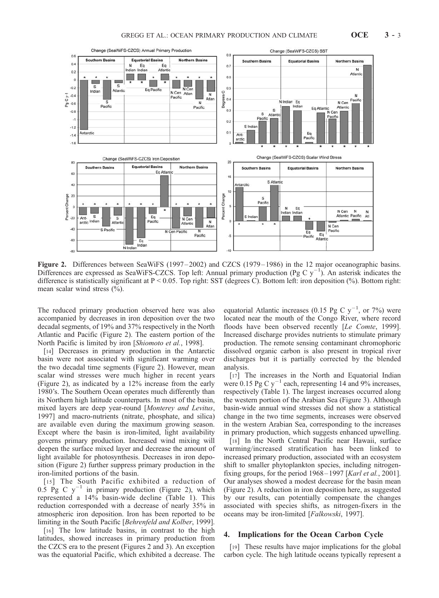

Figure 2. Differences between SeaWiFS (1997–2002) and CZCS (1979–1986) in the 12 major oceanographic basins. Differences are expressed as SeaWiFS-CZCS. Top left: Annual primary production (Pg C  $y^{-1}$ ). An asterisk indicates the difference is statistically significant at  $P < 0.05$ . Top right: SST (degrees C). Bottom left: iron deposition (%). Bottom right: mean scalar wind stress  $(\%).$ 

The reduced primary production observed here was also accompanied by decreases in iron deposition over the two decadal segments, of 19% and 37% respectively in the North Atlantic and Pacific (Figure 2). The eastern portion of the North Pacific is limited by iron [Shiomoto et al., 1998].

[14] Decreases in primary production in the Antarctic basin were not associated with significant warming over the two decadal time segments (Figure 2). However, mean scalar wind stresses were much higher in recent years (Figure 2), as indicated by a 12% increase from the early 1980's. The Southern Ocean operates much differently than its Northern high latitude counterparts. In most of the basin, mixed layers are deep year-round [Monterey and Levitus, 1997] and macro-nutrients (nitrate, phosphate, and silica) are available even during the maximum growing season. Except where the basin is iron-limited, light availability governs primary production. Increased wind mixing will deepen the surface mixed layer and decrease the amount of light available for photosynthesis. Decreases in iron deposition (Figure 2) further suppress primary production in the iron-limited portions of the basin.

[15] The South Pacific exhibited a reduction of  $0.\overline{5}$  Pg C y<sup>-1</sup> in primary production (Figure 2), which represented a 14% basin-wide decline (Table 1). This reduction corresponded with a decrease of nearly 35% in atmospheric iron deposition. Iron has been reported to be limiting in the South Pacific [Behrenfeld and Kolber, 1999].

[16] The low latitude basins, in contrast to the high latitudes, showed increases in primary production from the CZCS era to the present (Figures 2 and 3). An exception was the equatorial Pacific, which exhibited a decrease. The equatorial Atlantic increases (0.15 Pg C  $y^{-1}$ , or 7%) were located near the mouth of the Congo River, where record floods have been observed recently [Le Comte, 1999]. Increased discharge provides nutrients to stimulate primary production. The remote sensing contaminant chromophoric dissolved organic carbon is also present in tropical river discharges but it is partially corrected by the blended analysis.

[17] The increases in the North and Equatorial Indian were 0.15 Pg C  $y^{-1}$  each, representing 14 and 9% increases, respectively (Table 1). The largest increases occurred along the western portion of the Arabian Sea (Figure 3). Although basin-wide annual wind stresses did not show a statistical change in the two time segments, increases were observed in the western Arabian Sea, corresponding to the increases in primary production, which suggests enhanced upwelling.

[18] In the North Central Pacific near Hawaii, surface warming/increased stratification has been linked to increased primary production, associated with an ecosystem shift to smaller phytoplankton species, including nitrogenfixing groups, for the period  $1968 - 1997$  [*Karl et al.*, 2001]. Our analyses showed a modest decrease for the basin mean (Figure 2). A reduction in iron deposition here, as suggested by our results, can potentially compensate the changes associated with species shifts, as nitrogen-fixers in the oceans may be iron-limited [Falkowski, 1997].

### 4. Implications for the Ocean Carbon Cycle

[19] These results have major implications for the global carbon cycle. The high latitude oceans typically represent a